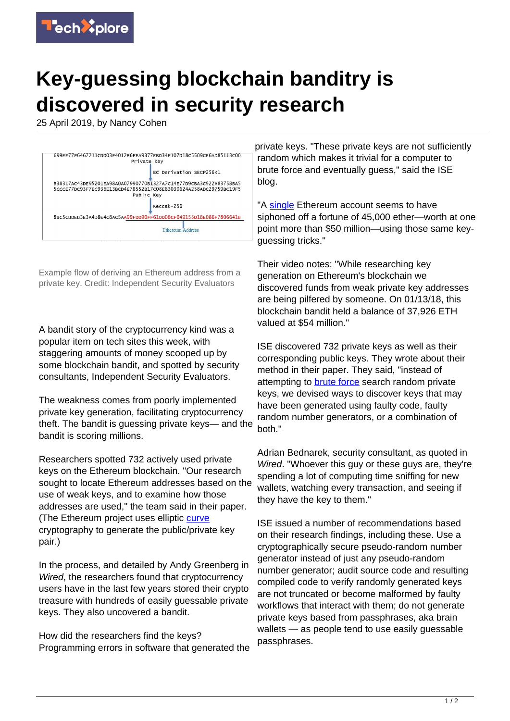

## **Key-guessing blockchain banditry is discovered in security research**

25 April 2019, by Nancy Cohen



Example flow of deriving an Ethereum address from a private key. Credit: Independent Security Evaluators

A bandit story of the cryptocurrency kind was a popular item on tech sites this week, with staggering amounts of money scooped up by some blockchain bandit, and spotted by security consultants, Independent Security Evaluators.

The weakness comes from poorly implemented private key generation, facilitating cryptocurrency theft. The bandit is guessing private keys— and the bandit is scoring millions.

Researchers spotted 732 actively used private keys on the Ethereum blockchain. "Our research sought to locate Ethereum addresses based on the use of weak keys, and to examine how those addresses are used," the team said in their paper. (The Ethereum project uses elliptic [curve](https://www.securityevaluators.com/casestudies/ethercombing/) cryptography to generate the public/private key pair.)

In the process, and detailed by Andy Greenberg in Wired, the researchers found that cryptocurrency users have in the last few years stored their crypto treasure with hundreds of easily guessable private keys. They also uncovered a bandit.

How did the researchers find the keys? Programming errors in software that generated the private keys. "These private keys are not sufficiently random which makes it trivial for a computer to brute force and eventually guess," said the ISE blog.

"A [single](https://www.wired.com/story/blockchain-bandit-ethereum-weak-private-keys/) Ethereum account seems to have siphoned off a fortune of 45,000 ether—worth at one point more than \$50 million—using those same keyguessing tricks."

Their video notes: "While researching key generation on Ethereum's blockchain we discovered funds from weak private key addresses are being pilfered by someone. On 01/13/18, this blockchain bandit held a balance of 37,926 ETH valued at \$54 million."

ISE discovered 732 private keys as well as their corresponding public keys. They wrote about their method in their paper. They said, "instead of attempting to **brute force** search random private keys, we devised ways to discover keys that may have been generated using faulty code, faulty random number generators, or a combination of both."

Adrian Bednarek, security consultant, as quoted in Wired. "Whoever this guy or these guys are, they're spending a lot of computing time sniffing for new wallets, watching every transaction, and seeing if they have the key to them."

ISE issued a number of recommendations based on their research findings, including these. Use a cryptographically secure pseudo-random number generator instead of just any pseudo-random number generator; audit source code and resulting compiled code to verify randomly generated keys are not truncated or become malformed by faulty workflows that interact with them; do not generate private keys based from passphrases, aka brain wallets — as people tend to use easily guessable passphrases.